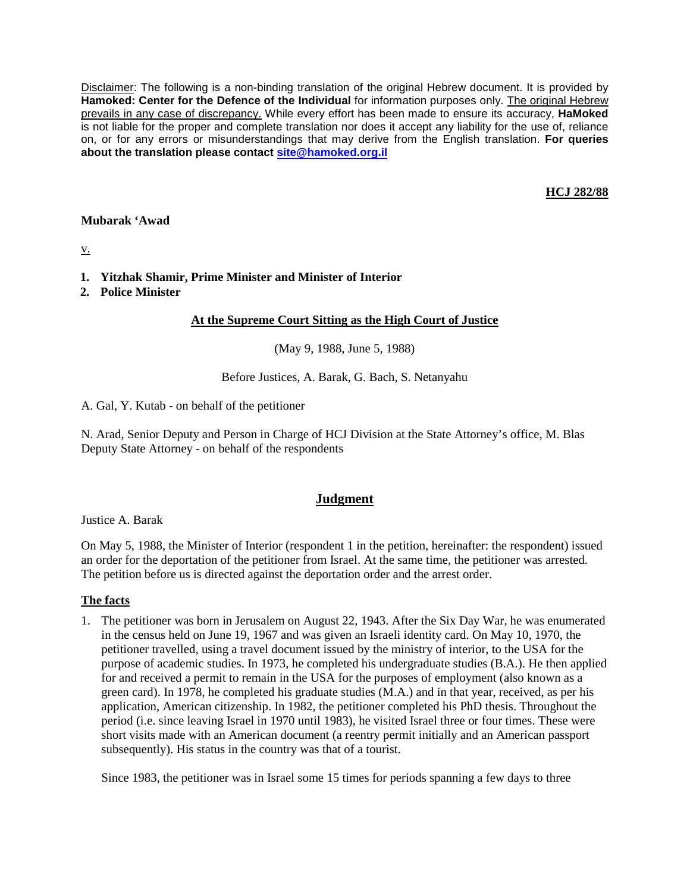Disclaimer: The following is a non-binding translation of the original Hebrew document. It is provided by **Hamoked: Center for the Defence of the Individual** for information purposes only. The original Hebrew prevails in any case of discrepancy. While every effort has been made to ensure its accuracy, **HaMoked** is not liable for the proper and complete translation nor does it accept any liability for the use of, reliance on, or for any errors or misunderstandings that may derive from the English translation. **For queries about the translation please contact site@hamoked.org.il**

## **HCJ 282/88**

### **Mubarak 'Awad**

v.

- **1. Yitzhak Shamir, Prime Minister and Minister of Interior**
- **2. Police Minister**

### **At the Supreme Court Sitting as the High Court of Justice**

(May 9, 1988, June 5, 1988)

Before Justices, A. Barak, G. Bach, S. Netanyahu

A. Gal, Y. Kutab - on behalf of the petitioner

N. Arad, Senior Deputy and Person in Charge of HCJ Division at the State Attorney's office, M. Blas Deputy State Attorney - on behalf of the respondents

# **Judgment**

Justice A. Barak

On May 5, 1988, the Minister of Interior (respondent 1 in the petition, hereinafter: the respondent) issued an order for the deportation of the petitioner from Israel. At the same time, the petitioner was arrested. The petition before us is directed against the deportation order and the arrest order.

### **The facts**

1. The petitioner was born in Jerusalem on August 22, 1943. After the Six Day War, he was enumerated in the census held on June 19, 1967 and was given an Israeli identity card. On May 10, 1970, the petitioner travelled, using a travel document issued by the ministry of interior, to the USA for the purpose of academic studies. In 1973, he completed his undergraduate studies (B.A.). He then applied for and received a permit to remain in the USA for the purposes of employment (also known as a green card). In 1978, he completed his graduate studies (M.A.) and in that year, received, as per his application, American citizenship. In 1982, the petitioner completed his PhD thesis. Throughout the period (i.e. since leaving Israel in 1970 until 1983), he visited Israel three or four times. These were short visits made with an American document (a reentry permit initially and an American passport subsequently). His status in the country was that of a tourist.

Since 1983, the petitioner was in Israel some 15 times for periods spanning a few days to three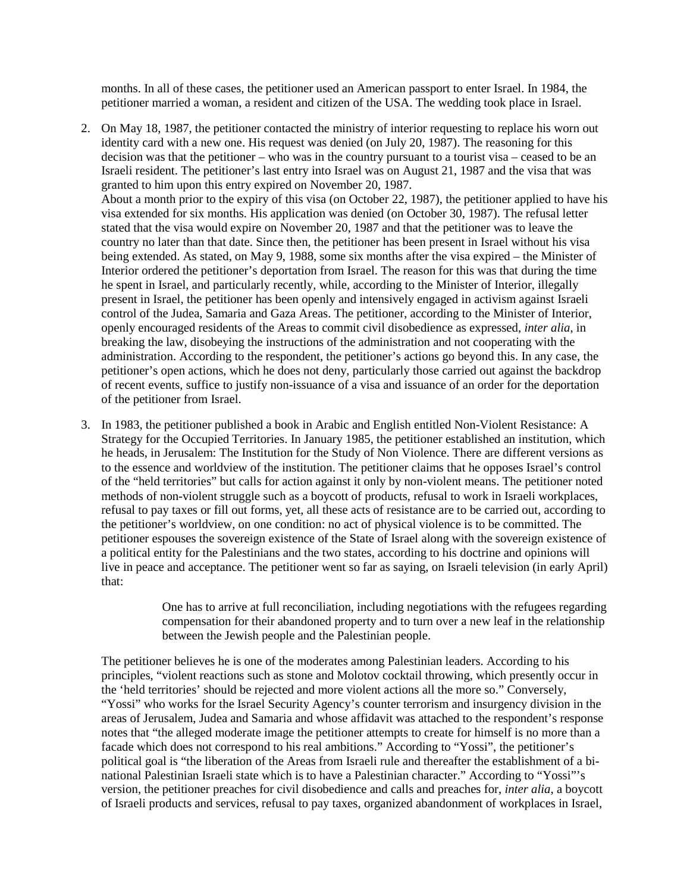months. In all of these cases, the petitioner used an American passport to enter Israel. In 1984, the petitioner married a woman, a resident and citizen of the USA. The wedding took place in Israel.

- 2. On May 18, 1987, the petitioner contacted the ministry of interior requesting to replace his worn out identity card with a new one. His request was denied (on July 20, 1987). The reasoning for this decision was that the petitioner – who was in the country pursuant to a tourist visa – ceased to be an Israeli resident. The petitioner's last entry into Israel was on August 21, 1987 and the visa that was granted to him upon this entry expired on November 20, 1987. About a month prior to the expiry of this visa (on October 22, 1987), the petitioner applied to have his visa extended for six months. His application was denied (on October 30, 1987). The refusal letter stated that the visa would expire on November 20, 1987 and that the petitioner was to leave the country no later than that date. Since then, the petitioner has been present in Israel without his visa being extended. As stated, on May 9, 1988, some six months after the visa expired – the Minister of Interior ordered the petitioner's deportation from Israel. The reason for this was that during the time he spent in Israel, and particularly recently, while, according to the Minister of Interior, illegally present in Israel, the petitioner has been openly and intensively engaged in activism against Israeli control of the Judea, Samaria and Gaza Areas. The petitioner, according to the Minister of Interior, openly encouraged residents of the Areas to commit civil disobedience as expressed, *inter alia*, in breaking the law, disobeying the instructions of the administration and not cooperating with the administration. According to the respondent, the petitioner's actions go beyond this. In any case, the petitioner's open actions, which he does not deny, particularly those carried out against the backdrop of recent events, suffice to justify non-issuance of a visa and issuance of an order for the deportation of the petitioner from Israel.
- 3. In 1983, the petitioner published a book in Arabic and English entitled Non-Violent Resistance: A Strategy for the Occupied Territories. In January 1985, the petitioner established an institution, which he heads, in Jerusalem: The Institution for the Study of Non Violence. There are different versions as to the essence and worldview of the institution. The petitioner claims that he opposes Israel's control of the "held territories" but calls for action against it only by non-violent means. The petitioner noted methods of non-violent struggle such as a boycott of products, refusal to work in Israeli workplaces, refusal to pay taxes or fill out forms, yet, all these acts of resistance are to be carried out, according to the petitioner's worldview, on one condition: no act of physical violence is to be committed. The petitioner espouses the sovereign existence of the State of Israel along with the sovereign existence of a political entity for the Palestinians and the two states, according to his doctrine and opinions will live in peace and acceptance. The petitioner went so far as saying, on Israeli television (in early April) that:

One has to arrive at full reconciliation, including negotiations with the refugees regarding compensation for their abandoned property and to turn over a new leaf in the relationship between the Jewish people and the Palestinian people.

The petitioner believes he is one of the moderates among Palestinian leaders. According to his principles, "violent reactions such as stone and Molotov cocktail throwing, which presently occur in the 'held territories' should be rejected and more violent actions all the more so." Conversely, "Yossi" who works for the Israel Security Agency's counter terrorism and insurgency division in the areas of Jerusalem, Judea and Samaria and whose affidavit was attached to the respondent's response notes that "the alleged moderate image the petitioner attempts to create for himself is no more than a facade which does not correspond to his real ambitions." According to "Yossi", the petitioner's political goal is "the liberation of the Areas from Israeli rule and thereafter the establishment of a binational Palestinian Israeli state which is to have a Palestinian character." According to "Yossi"'s version, the petitioner preaches for civil disobedience and calls and preaches for, *inter alia*, a boycott of Israeli products and services, refusal to pay taxes, organized abandonment of workplaces in Israel,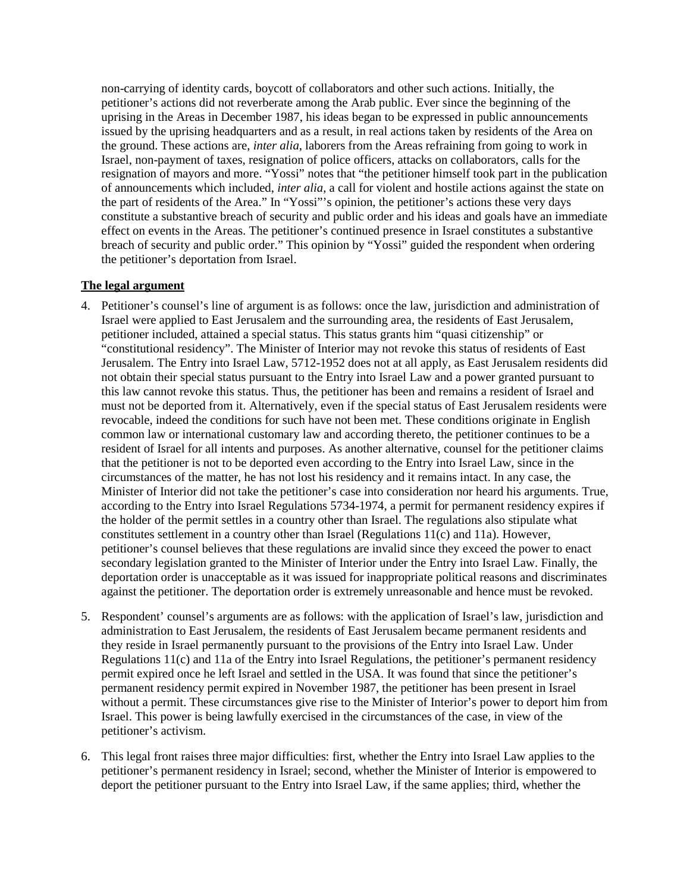non-carrying of identity cards, boycott of collaborators and other such actions. Initially, the petitioner's actions did not reverberate among the Arab public. Ever since the beginning of the uprising in the Areas in December 1987, his ideas began to be expressed in public announcements issued by the uprising headquarters and as a result, in real actions taken by residents of the Area on the ground. These actions are, *inter alia*, laborers from the Areas refraining from going to work in Israel, non-payment of taxes, resignation of police officers, attacks on collaborators, calls for the resignation of mayors and more. "Yossi" notes that "the petitioner himself took part in the publication of announcements which included, *inter alia*, a call for violent and hostile actions against the state on the part of residents of the Area." In "Yossi"'s opinion, the petitioner's actions these very days constitute a substantive breach of security and public order and his ideas and goals have an immediate effect on events in the Areas. The petitioner's continued presence in Israel constitutes a substantive breach of security and public order." This opinion by "Yossi" guided the respondent when ordering the petitioner's deportation from Israel.

## **The legal argument**

- 4. Petitioner's counsel's line of argument is as follows: once the law, jurisdiction and administration of Israel were applied to East Jerusalem and the surrounding area, the residents of East Jerusalem, petitioner included, attained a special status. This status grants him "quasi citizenship" or "constitutional residency". The Minister of Interior may not revoke this status of residents of East Jerusalem. The Entry into Israel Law, 5712-1952 does not at all apply, as East Jerusalem residents did not obtain their special status pursuant to the Entry into Israel Law and a power granted pursuant to this law cannot revoke this status. Thus, the petitioner has been and remains a resident of Israel and must not be deported from it. Alternatively, even if the special status of East Jerusalem residents were revocable, indeed the conditions for such have not been met. These conditions originate in English common law or international customary law and according thereto, the petitioner continues to be a resident of Israel for all intents and purposes. As another alternative, counsel for the petitioner claims that the petitioner is not to be deported even according to the Entry into Israel Law, since in the circumstances of the matter, he has not lost his residency and it remains intact. In any case, the Minister of Interior did not take the petitioner's case into consideration nor heard his arguments. True, according to the Entry into Israel Regulations 5734-1974, a permit for permanent residency expires if the holder of the permit settles in a country other than Israel. The regulations also stipulate what constitutes settlement in a country other than Israel (Regulations 11(c) and 11a). However, petitioner's counsel believes that these regulations are invalid since they exceed the power to enact secondary legislation granted to the Minister of Interior under the Entry into Israel Law. Finally, the deportation order is unacceptable as it was issued for inappropriate political reasons and discriminates against the petitioner. The deportation order is extremely unreasonable and hence must be revoked.
- 5. Respondent' counsel's arguments are as follows: with the application of Israel's law, jurisdiction and administration to East Jerusalem, the residents of East Jerusalem became permanent residents and they reside in Israel permanently pursuant to the provisions of the Entry into Israel Law. Under Regulations 11(c) and 11a of the Entry into Israel Regulations, the petitioner's permanent residency permit expired once he left Israel and settled in the USA. It was found that since the petitioner's permanent residency permit expired in November 1987, the petitioner has been present in Israel without a permit. These circumstances give rise to the Minister of Interior's power to deport him from Israel. This power is being lawfully exercised in the circumstances of the case, in view of the petitioner's activism.
- 6. This legal front raises three major difficulties: first, whether the Entry into Israel Law applies to the petitioner's permanent residency in Israel; second, whether the Minister of Interior is empowered to deport the petitioner pursuant to the Entry into Israel Law, if the same applies; third, whether the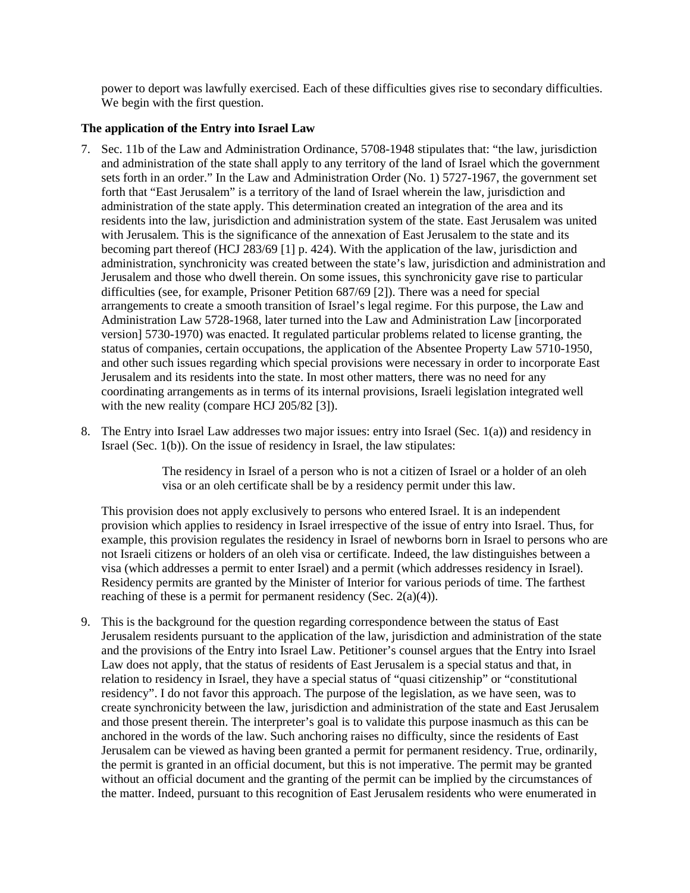power to deport was lawfully exercised. Each of these difficulties gives rise to secondary difficulties. We begin with the first question.

### **The application of the Entry into Israel Law**

- 7. Sec. 11b of the Law and Administration Ordinance, 5708-1948 stipulates that: "the law, jurisdiction and administration of the state shall apply to any territory of the land of Israel which the government sets forth in an order." In the Law and Administration Order (No. 1) 5727-1967, the government set forth that "East Jerusalem" is a territory of the land of Israel wherein the law, jurisdiction and administration of the state apply. This determination created an integration of the area and its residents into the law, jurisdiction and administration system of the state. East Jerusalem was united with Jerusalem. This is the significance of the annexation of East Jerusalem to the state and its becoming part thereof (HCJ 283/69 [1] p. 424). With the application of the law, jurisdiction and administration, synchronicity was created between the state's law, jurisdiction and administration and Jerusalem and those who dwell therein. On some issues, this synchronicity gave rise to particular difficulties (see, for example, Prisoner Petition 687/69 [2]). There was a need for special arrangements to create a smooth transition of Israel's legal regime. For this purpose, the Law and Administration Law 5728-1968, later turned into the Law and Administration Law [incorporated version] 5730-1970) was enacted. It regulated particular problems related to license granting, the status of companies, certain occupations, the application of the Absentee Property Law 5710-1950, and other such issues regarding which special provisions were necessary in order to incorporate East Jerusalem and its residents into the state. In most other matters, there was no need for any coordinating arrangements as in terms of its internal provisions, Israeli legislation integrated well with the new reality (compare HCJ 205/82 [3]).
- 8. The Entry into Israel Law addresses two major issues: entry into Israel (Sec. 1(a)) and residency in Israel (Sec. 1(b)). On the issue of residency in Israel, the law stipulates:

The residency in Israel of a person who is not a citizen of Israel or a holder of an oleh visa or an oleh certificate shall be by a residency permit under this law.

This provision does not apply exclusively to persons who entered Israel. It is an independent provision which applies to residency in Israel irrespective of the issue of entry into Israel. Thus, for example, this provision regulates the residency in Israel of newborns born in Israel to persons who are not Israeli citizens or holders of an oleh visa or certificate. Indeed, the law distinguishes between a visa (which addresses a permit to enter Israel) and a permit (which addresses residency in Israel). Residency permits are granted by the Minister of Interior for various periods of time. The farthest reaching of these is a permit for permanent residency (Sec. 2(a)(4)).

9. This is the background for the question regarding correspondence between the status of East Jerusalem residents pursuant to the application of the law, jurisdiction and administration of the state and the provisions of the Entry into Israel Law. Petitioner's counsel argues that the Entry into Israel Law does not apply, that the status of residents of East Jerusalem is a special status and that, in relation to residency in Israel, they have a special status of "quasi citizenship" or "constitutional residency". I do not favor this approach. The purpose of the legislation, as we have seen, was to create synchronicity between the law, jurisdiction and administration of the state and East Jerusalem and those present therein. The interpreter's goal is to validate this purpose inasmuch as this can be anchored in the words of the law. Such anchoring raises no difficulty, since the residents of East Jerusalem can be viewed as having been granted a permit for permanent residency. True, ordinarily, the permit is granted in an official document, but this is not imperative. The permit may be granted without an official document and the granting of the permit can be implied by the circumstances of the matter. Indeed, pursuant to this recognition of East Jerusalem residents who were enumerated in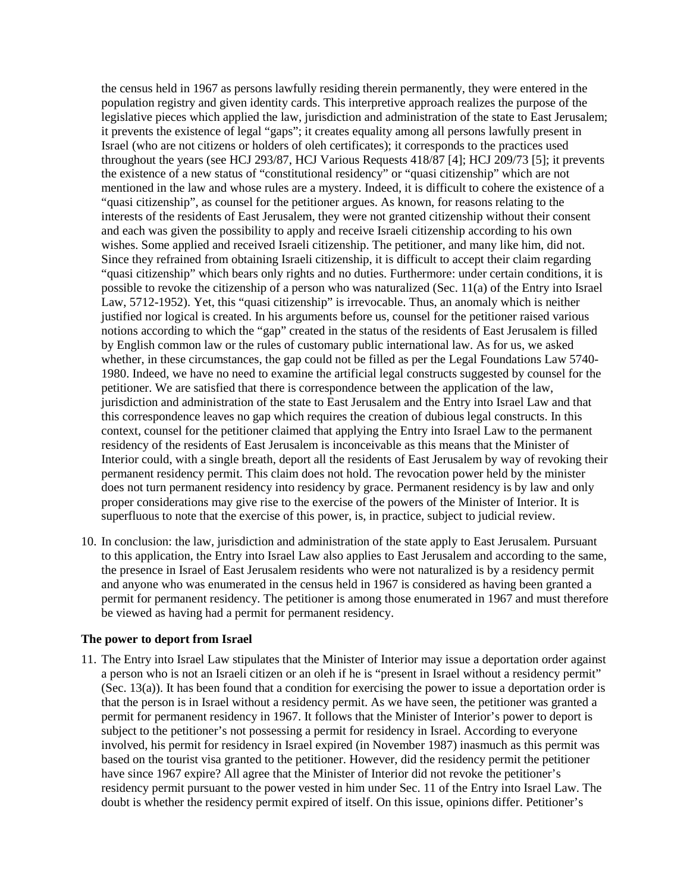the census held in 1967 as persons lawfully residing therein permanently, they were entered in the population registry and given identity cards. This interpretive approach realizes the purpose of the legislative pieces which applied the law, jurisdiction and administration of the state to East Jerusalem; it prevents the existence of legal "gaps"; it creates equality among all persons lawfully present in Israel (who are not citizens or holders of oleh certificates); it corresponds to the practices used throughout the years (see HCJ 293/87, HCJ Various Requests 418/87 [4]; HCJ 209/73 [5]; it prevents the existence of a new status of "constitutional residency" or "quasi citizenship" which are not mentioned in the law and whose rules are a mystery. Indeed, it is difficult to cohere the existence of a "quasi citizenship", as counsel for the petitioner argues. As known, for reasons relating to the interests of the residents of East Jerusalem, they were not granted citizenship without their consent and each was given the possibility to apply and receive Israeli citizenship according to his own wishes. Some applied and received Israeli citizenship. The petitioner, and many like him, did not. Since they refrained from obtaining Israeli citizenship, it is difficult to accept their claim regarding "quasi citizenship" which bears only rights and no duties. Furthermore: under certain conditions, it is possible to revoke the citizenship of a person who was naturalized (Sec. 11(a) of the Entry into Israel Law, 5712-1952). Yet, this "quasi citizenship" is irrevocable. Thus, an anomaly which is neither justified nor logical is created. In his arguments before us, counsel for the petitioner raised various notions according to which the "gap" created in the status of the residents of East Jerusalem is filled by English common law or the rules of customary public international law. As for us, we asked whether, in these circumstances, the gap could not be filled as per the Legal Foundations Law 5740- 1980. Indeed, we have no need to examine the artificial legal constructs suggested by counsel for the petitioner. We are satisfied that there is correspondence between the application of the law, jurisdiction and administration of the state to East Jerusalem and the Entry into Israel Law and that this correspondence leaves no gap which requires the creation of dubious legal constructs. In this context, counsel for the petitioner claimed that applying the Entry into Israel Law to the permanent residency of the residents of East Jerusalem is inconceivable as this means that the Minister of Interior could, with a single breath, deport all the residents of East Jerusalem by way of revoking their permanent residency permit. This claim does not hold. The revocation power held by the minister does not turn permanent residency into residency by grace. Permanent residency is by law and only proper considerations may give rise to the exercise of the powers of the Minister of Interior. It is superfluous to note that the exercise of this power, is, in practice, subject to judicial review.

10. In conclusion: the law, jurisdiction and administration of the state apply to East Jerusalem. Pursuant to this application, the Entry into Israel Law also applies to East Jerusalem and according to the same, the presence in Israel of East Jerusalem residents who were not naturalized is by a residency permit and anyone who was enumerated in the census held in 1967 is considered as having been granted a permit for permanent residency. The petitioner is among those enumerated in 1967 and must therefore be viewed as having had a permit for permanent residency.

#### **The power to deport from Israel**

11. The Entry into Israel Law stipulates that the Minister of Interior may issue a deportation order against a person who is not an Israeli citizen or an oleh if he is "present in Israel without a residency permit" (Sec. 13(a)). It has been found that a condition for exercising the power to issue a deportation order is that the person is in Israel without a residency permit. As we have seen, the petitioner was granted a permit for permanent residency in 1967. It follows that the Minister of Interior's power to deport is subject to the petitioner's not possessing a permit for residency in Israel. According to everyone involved, his permit for residency in Israel expired (in November 1987) inasmuch as this permit was based on the tourist visa granted to the petitioner. However, did the residency permit the petitioner have since 1967 expire? All agree that the Minister of Interior did not revoke the petitioner's residency permit pursuant to the power vested in him under Sec. 11 of the Entry into Israel Law. The doubt is whether the residency permit expired of itself. On this issue, opinions differ. Petitioner's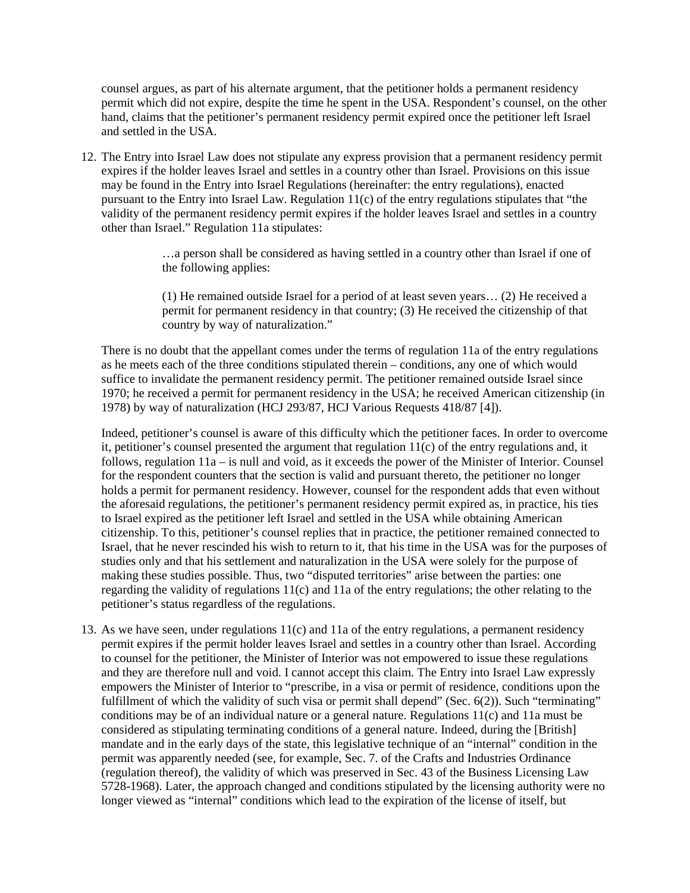counsel argues, as part of his alternate argument, that the petitioner holds a permanent residency permit which did not expire, despite the time he spent in the USA. Respondent's counsel, on the other hand, claims that the petitioner's permanent residency permit expired once the petitioner left Israel and settled in the USA.

12. The Entry into Israel Law does not stipulate any express provision that a permanent residency permit expires if the holder leaves Israel and settles in a country other than Israel. Provisions on this issue may be found in the Entry into Israel Regulations (hereinafter: the entry regulations), enacted pursuant to the Entry into Israel Law. Regulation 11(c) of the entry regulations stipulates that "the validity of the permanent residency permit expires if the holder leaves Israel and settles in a country other than Israel." Regulation 11a stipulates:

> …a person shall be considered as having settled in a country other than Israel if one of the following applies:

> (1) He remained outside Israel for a period of at least seven years… (2) He received a permit for permanent residency in that country; (3) He received the citizenship of that country by way of naturalization."

There is no doubt that the appellant comes under the terms of regulation 11a of the entry regulations as he meets each of the three conditions stipulated therein – conditions, any one of which would suffice to invalidate the permanent residency permit. The petitioner remained outside Israel since 1970; he received a permit for permanent residency in the USA; he received American citizenship (in 1978) by way of naturalization (HCJ 293/87, HCJ Various Requests 418/87 [4]).

Indeed, petitioner's counsel is aware of this difficulty which the petitioner faces. In order to overcome it, petitioner's counsel presented the argument that regulation  $11(c)$  of the entry regulations and, it follows, regulation  $11a - is$  null and void, as it exceeds the power of the Minister of Interior. Counsel for the respondent counters that the section is valid and pursuant thereto, the petitioner no longer holds a permit for permanent residency. However, counsel for the respondent adds that even without the aforesaid regulations, the petitioner's permanent residency permit expired as, in practice, his ties to Israel expired as the petitioner left Israel and settled in the USA while obtaining American citizenship. To this, petitioner's counsel replies that in practice, the petitioner remained connected to Israel, that he never rescinded his wish to return to it, that his time in the USA was for the purposes of studies only and that his settlement and naturalization in the USA were solely for the purpose of making these studies possible. Thus, two "disputed territories" arise between the parties: one regarding the validity of regulations 11(c) and 11a of the entry regulations; the other relating to the petitioner's status regardless of the regulations.

13. As we have seen, under regulations 11(c) and 11a of the entry regulations, a permanent residency permit expires if the permit holder leaves Israel and settles in a country other than Israel. According to counsel for the petitioner, the Minister of Interior was not empowered to issue these regulations and they are therefore null and void. I cannot accept this claim. The Entry into Israel Law expressly empowers the Minister of Interior to "prescribe, in a visa or permit of residence, conditions upon the fulfillment of which the validity of such visa or permit shall depend" (Sec. 6(2)). Such "terminating" conditions may be of an individual nature or a general nature. Regulations 11(c) and 11a must be considered as stipulating terminating conditions of a general nature. Indeed, during the [British] mandate and in the early days of the state, this legislative technique of an "internal" condition in the permit was apparently needed (see, for example, Sec. 7. of the Crafts and Industries Ordinance (regulation thereof), the validity of which was preserved in Sec. 43 of the Business Licensing Law 5728-1968). Later, the approach changed and conditions stipulated by the licensing authority were no longer viewed as "internal" conditions which lead to the expiration of the license of itself, but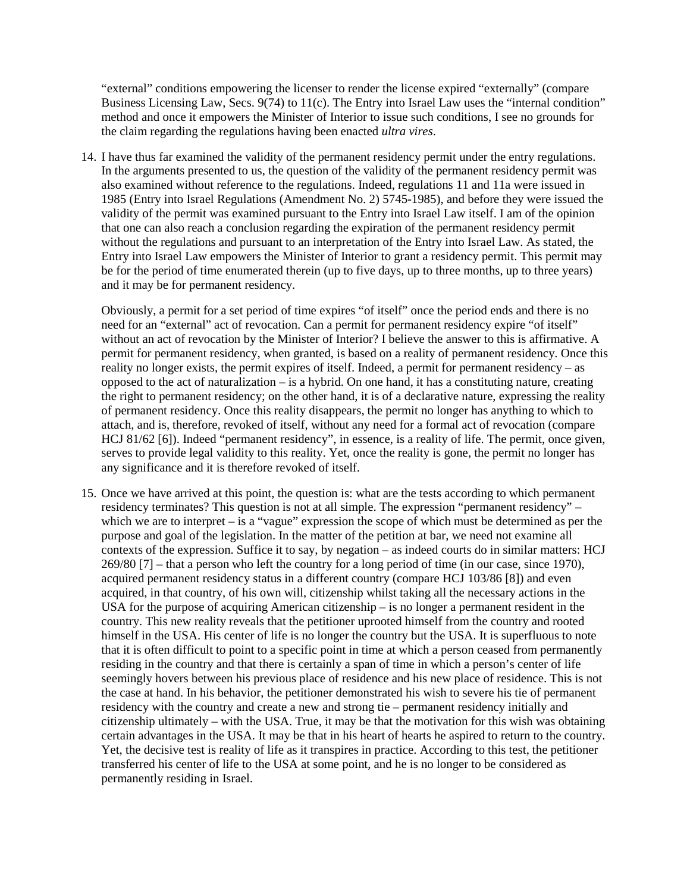"external" conditions empowering the licenser to render the license expired "externally" (compare Business Licensing Law, Secs. 9(74) to 11(c). The Entry into Israel Law uses the "internal condition" method and once it empowers the Minister of Interior to issue such conditions, I see no grounds for the claim regarding the regulations having been enacted *ultra vires*.

14. I have thus far examined the validity of the permanent residency permit under the entry regulations. In the arguments presented to us, the question of the validity of the permanent residency permit was also examined without reference to the regulations. Indeed, regulations 11 and 11a were issued in 1985 (Entry into Israel Regulations (Amendment No. 2) 5745-1985), and before they were issued the validity of the permit was examined pursuant to the Entry into Israel Law itself. I am of the opinion that one can also reach a conclusion regarding the expiration of the permanent residency permit without the regulations and pursuant to an interpretation of the Entry into Israel Law. As stated, the Entry into Israel Law empowers the Minister of Interior to grant a residency permit. This permit may be for the period of time enumerated therein (up to five days, up to three months, up to three years) and it may be for permanent residency.

Obviously, a permit for a set period of time expires "of itself" once the period ends and there is no need for an "external" act of revocation. Can a permit for permanent residency expire "of itself" without an act of revocation by the Minister of Interior? I believe the answer to this is affirmative. A permit for permanent residency, when granted, is based on a reality of permanent residency. Once this reality no longer exists, the permit expires of itself. Indeed, a permit for permanent residency – as opposed to the act of naturalization  $-$  is a hybrid. On one hand, it has a constituting nature, creating the right to permanent residency; on the other hand, it is of a declarative nature, expressing the reality of permanent residency. Once this reality disappears, the permit no longer has anything to which to attach, and is, therefore, revoked of itself, without any need for a formal act of revocation (compare HCJ 81/62 [6]). Indeed "permanent residency", in essence, is a reality of life. The permit, once given, serves to provide legal validity to this reality. Yet, once the reality is gone, the permit no longer has any significance and it is therefore revoked of itself.

15. Once we have arrived at this point, the question is: what are the tests according to which permanent residency terminates? This question is not at all simple. The expression "permanent residency" – which we are to interpret – is a "vague" expression the scope of which must be determined as per the purpose and goal of the legislation. In the matter of the petition at bar, we need not examine all contexts of the expression. Suffice it to say, by negation – as indeed courts do in similar matters: HCJ 269/80 [7] – that a person who left the country for a long period of time (in our case, since 1970), acquired permanent residency status in a different country (compare HCJ 103/86 [8]) and even acquired, in that country, of his own will, citizenship whilst taking all the necessary actions in the USA for the purpose of acquiring American citizenship – is no longer a permanent resident in the country. This new reality reveals that the petitioner uprooted himself from the country and rooted himself in the USA. His center of life is no longer the country but the USA. It is superfluous to note that it is often difficult to point to a specific point in time at which a person ceased from permanently residing in the country and that there is certainly a span of time in which a person's center of life seemingly hovers between his previous place of residence and his new place of residence. This is not the case at hand. In his behavior, the petitioner demonstrated his wish to severe his tie of permanent residency with the country and create a new and strong tie – permanent residency initially and citizenship ultimately – with the USA. True, it may be that the motivation for this wish was obtaining certain advantages in the USA. It may be that in his heart of hearts he aspired to return to the country. Yet, the decisive test is reality of life as it transpires in practice. According to this test, the petitioner transferred his center of life to the USA at some point, and he is no longer to be considered as permanently residing in Israel.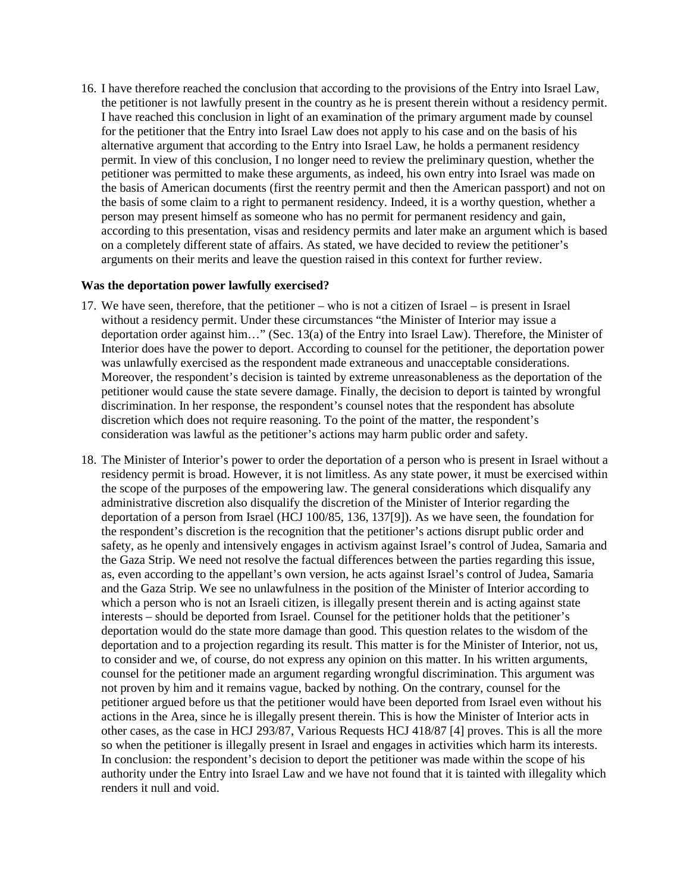16. I have therefore reached the conclusion that according to the provisions of the Entry into Israel Law, the petitioner is not lawfully present in the country as he is present therein without a residency permit. I have reached this conclusion in light of an examination of the primary argument made by counsel for the petitioner that the Entry into Israel Law does not apply to his case and on the basis of his alternative argument that according to the Entry into Israel Law, he holds a permanent residency permit. In view of this conclusion, I no longer need to review the preliminary question, whether the petitioner was permitted to make these arguments, as indeed, his own entry into Israel was made on the basis of American documents (first the reentry permit and then the American passport) and not on the basis of some claim to a right to permanent residency. Indeed, it is a worthy question, whether a person may present himself as someone who has no permit for permanent residency and gain, according to this presentation, visas and residency permits and later make an argument which is based on a completely different state of affairs. As stated, we have decided to review the petitioner's arguments on their merits and leave the question raised in this context for further review.

#### **Was the deportation power lawfully exercised?**

- 17. We have seen, therefore, that the petitioner who is not a citizen of Israel is present in Israel without a residency permit. Under these circumstances "the Minister of Interior may issue a deportation order against him…" (Sec. 13(a) of the Entry into Israel Law). Therefore, the Minister of Interior does have the power to deport. According to counsel for the petitioner, the deportation power was unlawfully exercised as the respondent made extraneous and unacceptable considerations. Moreover, the respondent's decision is tainted by extreme unreasonableness as the deportation of the petitioner would cause the state severe damage. Finally, the decision to deport is tainted by wrongful discrimination. In her response, the respondent's counsel notes that the respondent has absolute discretion which does not require reasoning. To the point of the matter, the respondent's consideration was lawful as the petitioner's actions may harm public order and safety.
- 18. The Minister of Interior's power to order the deportation of a person who is present in Israel without a residency permit is broad. However, it is not limitless. As any state power, it must be exercised within the scope of the purposes of the empowering law. The general considerations which disqualify any administrative discretion also disqualify the discretion of the Minister of Interior regarding the deportation of a person from Israel (HCJ 100/85, 136, 137[9]). As we have seen, the foundation for the respondent's discretion is the recognition that the petitioner's actions disrupt public order and safety, as he openly and intensively engages in activism against Israel's control of Judea, Samaria and the Gaza Strip. We need not resolve the factual differences between the parties regarding this issue, as, even according to the appellant's own version, he acts against Israel's control of Judea, Samaria and the Gaza Strip. We see no unlawfulness in the position of the Minister of Interior according to which a person who is not an Israeli citizen, is illegally present therein and is acting against state interests – should be deported from Israel. Counsel for the petitioner holds that the petitioner's deportation would do the state more damage than good. This question relates to the wisdom of the deportation and to a projection regarding its result. This matter is for the Minister of Interior, not us, to consider and we, of course, do not express any opinion on this matter. In his written arguments, counsel for the petitioner made an argument regarding wrongful discrimination. This argument was not proven by him and it remains vague, backed by nothing. On the contrary, counsel for the petitioner argued before us that the petitioner would have been deported from Israel even without his actions in the Area, since he is illegally present therein. This is how the Minister of Interior acts in other cases, as the case in HCJ 293/87, Various Requests HCJ 418/87 [4] proves. This is all the more so when the petitioner is illegally present in Israel and engages in activities which harm its interests. In conclusion: the respondent's decision to deport the petitioner was made within the scope of his authority under the Entry into Israel Law and we have not found that it is tainted with illegality which renders it null and void.